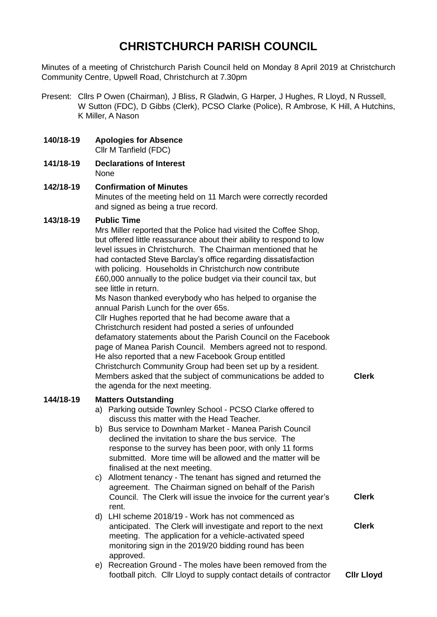# **CHRISTCHURCH PARISH COUNCIL**

Minutes of a meeting of Christchurch Parish Council held on Monday 8 April 2019 at Christchurch Community Centre, Upwell Road, Christchurch at 7.30pm

- Present: Cllrs P Owen (Chairman), J Bliss, R Gladwin, G Harper, J Hughes, R Lloyd, N Russell, W Sutton (FDC), D Gibbs (Clerk), PCSO Clarke (Police), R Ambrose, K Hill, A Hutchins, K Miller, A Nason
- **140/18-19 Apologies for Absence** Cllr M Tanfield (FDC)
- **141/18-19 Declarations of Interest** None
- **142/18-19 Confirmation of Minutes** Minutes of the meeting held on 11 March were correctly recorded and signed as being a true record.

# **143/18-19 Public Time**

Mrs Miller reported that the Police had visited the Coffee Shop, but offered little reassurance about their ability to respond to low level issues in Christchurch. The Chairman mentioned that he had contacted Steve Barclay's office regarding dissatisfaction with policing. Households in Christchurch now contribute £60,000 annually to the police budget via their council tax, but see little in return.

Ms Nason thanked everybody who has helped to organise the annual Parish Lunch for the over 65s.

Cllr Hughes reported that he had become aware that a Christchurch resident had posted a series of unfounded defamatory statements about the Parish Council on the Facebook page of Manea Parish Council. Members agreed not to respond. He also reported that a new Facebook Group entitled Christchurch Community Group had been set up by a resident. Members asked that the subject of communications be added to the agenda for the next meeting.

#### **144/18-19 Matters Outstanding**

- a) Parking outside Townley School PCSO Clarke offered to discuss this matter with the Head Teacher.
- b) Bus service to Downham Market Manea Parish Council declined the invitation to share the bus service. The response to the survey has been poor, with only 11 forms submitted. More time will be allowed and the matter will be finalised at the next meeting.
- c) Allotment tenancy The tenant has signed and returned the agreement. The Chairman signed on behalf of the Parish Council. The Clerk will issue the invoice for the current year's rent. **Clerk**
- d) LHI scheme 2018/19 Work has not commenced as anticipated. The Clerk will investigate and report to the next meeting. The application for a vehicle-activated speed monitoring sign in the 2019/20 bidding round has been approved. **Clerk**
- e) Recreation Ground The moles have been removed from the football pitch. Cllr Lloyd to supply contact details of contractor **Cllr Lloyd**

**Clerk**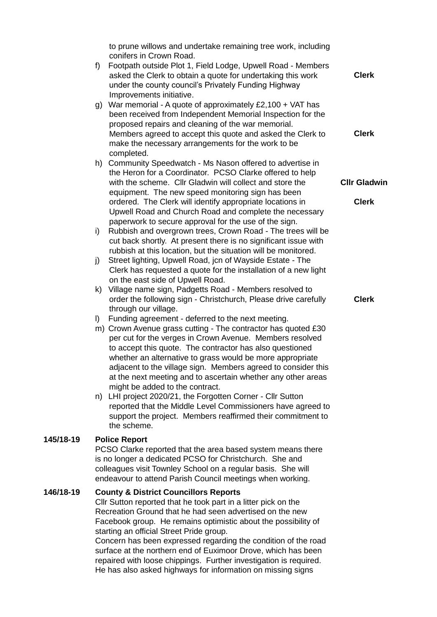to prune willows and undertake remaining tree work, including conifers in Crown Road. f) Footpath outside Plot 1, Field Lodge, Upwell Road - Members asked the Clerk to obtain a quote for undertaking this work under the county council's Privately Funding Highway Improvements initiative. g) War memorial - A quote of approximately £2,100 + VAT has been received from Independent Memorial Inspection for the proposed repairs and cleaning of the war memorial. Members agreed to accept this quote and asked the Clerk to make the necessary arrangements for the work to be completed. h) Community Speedwatch - Ms Nason offered to advertise in the Heron for a Coordinator. PCSO Clarke offered to help with the scheme. Cllr Gladwin will collect and store the equipment. The new speed monitoring sign has been ordered. The Clerk will identify appropriate locations in Upwell Road and Church Road and complete the necessary paperwork to secure approval for the use of the sign. i) Rubbish and overgrown trees, Crown Road - The trees will be cut back shortly. At present there is no significant issue with rubbish at this location, but the situation will be monitored. j) Street lighting, Upwell Road, jcn of Wayside Estate - The Clerk has requested a quote for the installation of a new light on the east side of Upwell Road. k) Village name sign, Padgetts Road - Members resolved to order the following sign - Christchurch, Please drive carefully through our village. l) Funding agreement - deferred to the next meeting. m) Crown Avenue grass cutting - The contractor has quoted £30 per cut for the verges in Crown Avenue. Members resolved to accept this quote. The contractor has also questioned whether an alternative to grass would be more appropriate adjacent to the village sign. Members agreed to consider this at the next meeting and to ascertain whether any other areas might be added to the contract. n) LHI project 2020/21, the Forgotten Corner - Cllr Sutton reported that the Middle Level Commissioners have agreed to support the project. Members reaffirmed their commitment to the scheme. **Clerk Clerk Cllr Gladwin Clerk Clerk 145/18-19 Police Report** PCSO Clarke reported that the area based system means there is no longer a dedicated PCSO for Christchurch. She and colleagues visit Townley School on a regular basis. She will endeavour to attend Parish Council meetings when working. **146/18-19 County & District Councillors Reports** Cllr Sutton reported that he took part in a litter pick on the Recreation Ground that he had seen advertised on the new Facebook group. He remains optimistic about the possibility of starting an official Street Pride group.

Concern has been expressed regarding the condition of the road surface at the northern end of Euximoor Drove, which has been repaired with loose chippings. Further investigation is required. He has also asked highways for information on missing signs